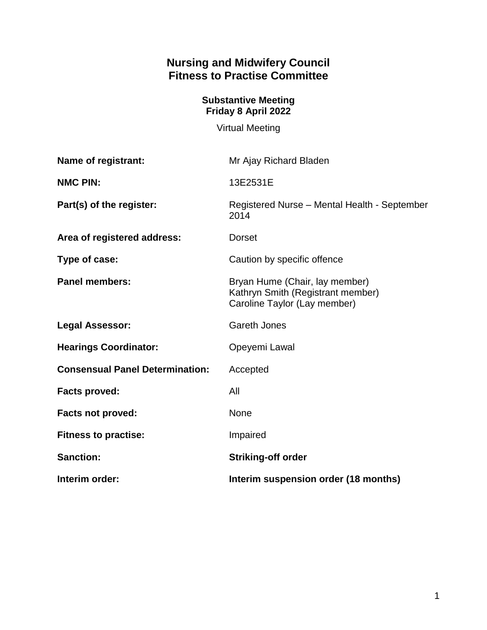# **Nursing and Midwifery Council Fitness to Practise Committee**

### **Substantive Meeting Friday 8 April 2022**

Virtual Meeting

| <b>Name of registrant:</b>             | Mr Ajay Richard Bladen                                                                              |
|----------------------------------------|-----------------------------------------------------------------------------------------------------|
| <b>NMC PIN:</b>                        | 13E2531E                                                                                            |
| Part(s) of the register:               | Registered Nurse - Mental Health - September<br>2014                                                |
| Area of registered address:            | <b>Dorset</b>                                                                                       |
| Type of case:                          | Caution by specific offence                                                                         |
| <b>Panel members:</b>                  | Bryan Hume (Chair, lay member)<br>Kathryn Smith (Registrant member)<br>Caroline Taylor (Lay member) |
| <b>Legal Assessor:</b>                 | <b>Gareth Jones</b>                                                                                 |
| <b>Hearings Coordinator:</b>           | Opeyemi Lawal                                                                                       |
| <b>Consensual Panel Determination:</b> | Accepted                                                                                            |
| <b>Facts proved:</b>                   | All                                                                                                 |
| <b>Facts not proved:</b>               | None                                                                                                |
| <b>Fitness to practise:</b>            | Impaired                                                                                            |
| <b>Sanction:</b>                       | <b>Striking-off order</b>                                                                           |
| Interim order:                         | Interim suspension order (18 months)                                                                |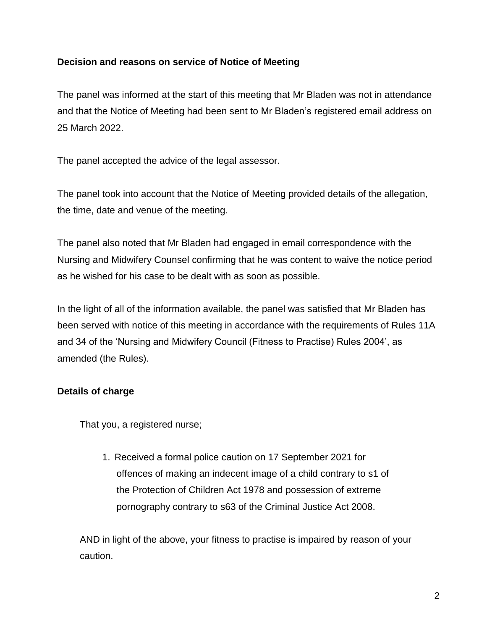## **Decision and reasons on service of Notice of Meeting**

The panel was informed at the start of this meeting that Mr Bladen was not in attendance and that the Notice of Meeting had been sent to Mr Bladen's registered email address on 25 March 2022.

The panel accepted the advice of the legal assessor.

The panel took into account that the Notice of Meeting provided details of the allegation, the time, date and venue of the meeting.

The panel also noted that Mr Bladen had engaged in email correspondence with the Nursing and Midwifery Counsel confirming that he was content to waive the notice period as he wished for his case to be dealt with as soon as possible.

In the light of all of the information available, the panel was satisfied that Mr Bladen has been served with notice of this meeting in accordance with the requirements of Rules 11A and 34 of the 'Nursing and Midwifery Council (Fitness to Practise) Rules 2004', as amended (the Rules).

# **Details of charge**

That you, a registered nurse;

1. Received a formal police caution on 17 September 2021 for offences of making an indecent image of a child contrary to s1 of the Protection of Children Act 1978 and possession of extreme pornography contrary to s63 of the Criminal Justice Act 2008.

AND in light of the above, your fitness to practise is impaired by reason of your caution.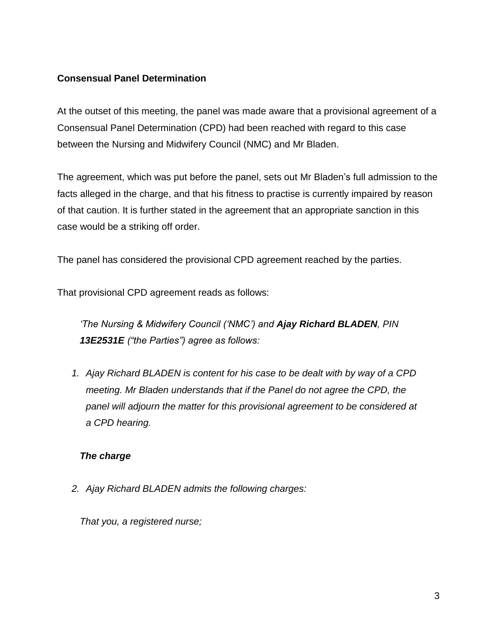## **Consensual Panel Determination**

At the outset of this meeting, the panel was made aware that a provisional agreement of a Consensual Panel Determination (CPD) had been reached with regard to this case between the Nursing and Midwifery Council (NMC) and Mr Bladen.

The agreement, which was put before the panel, sets out Mr Bladen's full admission to the facts alleged in the charge, and that his fitness to practise is currently impaired by reason of that caution. It is further stated in the agreement that an appropriate sanction in this case would be a striking off order.

The panel has considered the provisional CPD agreement reached by the parties.

That provisional CPD agreement reads as follows:

*'The Nursing & Midwifery Council ('NMC') and Ajay Richard BLADEN, PIN 13E2531E ("the Parties") agree as follows:*

*1. Ajay Richard BLADEN is content for his case to be dealt with by way of a CPD meeting. Mr Bladen understands that if the Panel do not agree the CPD, the panel will adjourn the matter for this provisional agreement to be considered at a CPD hearing.*

# *The charge*

*2. Ajay Richard BLADEN admits the following charges:*

*That you, a registered nurse;*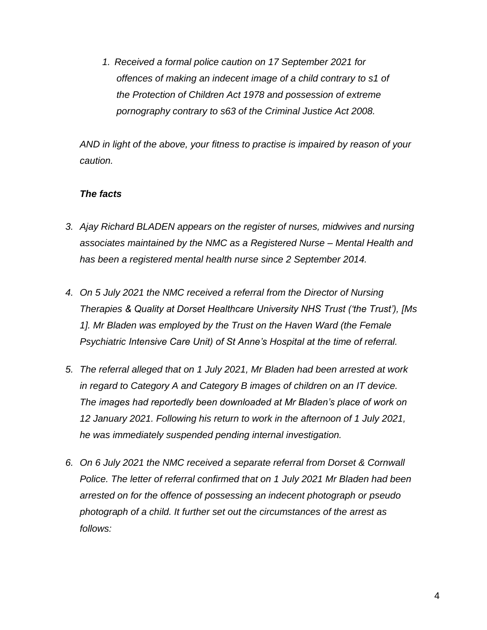*1. Received a formal police caution on 17 September 2021 for offences of making an indecent image of a child contrary to s1 of the Protection of Children Act 1978 and possession of extreme pornography contrary to s63 of the Criminal Justice Act 2008.*

*AND in light of the above, your fitness to practise is impaired by reason of your caution.*

#### *The facts*

- *3. Ajay Richard BLADEN appears on the register of nurses, midwives and nursing associates maintained by the NMC as a Registered Nurse – Mental Health and has been a registered mental health nurse since 2 September 2014.*
- *4. On 5 July 2021 the NMC received a referral from the Director of Nursing Therapies & Quality at Dorset Healthcare University NHS Trust ('the Trust'), [Ms 1]. Mr Bladen was employed by the Trust on the Haven Ward (the Female Psychiatric Intensive Care Unit) of St Anne's Hospital at the time of referral.*
- *5. The referral alleged that on 1 July 2021, Mr Bladen had been arrested at work in regard to Category A and Category B images of children on an IT device. The images had reportedly been downloaded at Mr Bladen's place of work on 12 January 2021. Following his return to work in the afternoon of 1 July 2021, he was immediately suspended pending internal investigation.*
- *6. On 6 July 2021 the NMC received a separate referral from Dorset & Cornwall Police. The letter of referral confirmed that on 1 July 2021 Mr Bladen had been arrested on for the offence of possessing an indecent photograph or pseudo photograph of a child. It further set out the circumstances of the arrest as follows:*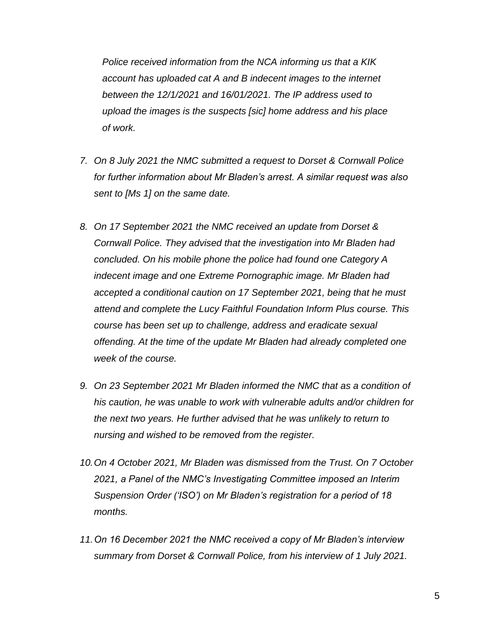*Police received information from the NCA informing us that a KIK account has uploaded cat A and B indecent images to the internet between the 12/1/2021 and 16/01/2021. The IP address used to upload the images is the suspects [sic] home address and his place of work.*

- *7. On 8 July 2021 the NMC submitted a request to Dorset & Cornwall Police for further information about Mr Bladen's arrest. A similar request was also sent to [Ms 1] on the same date.*
- *8. On 17 September 2021 the NMC received an update from Dorset & Cornwall Police. They advised that the investigation into Mr Bladen had concluded. On his mobile phone the police had found one Category A indecent image and one Extreme Pornographic image. Mr Bladen had accepted a conditional caution on 17 September 2021, being that he must attend and complete the Lucy Faithful Foundation Inform Plus course. This course has been set up to challenge, address and eradicate sexual offending. At the time of the update Mr Bladen had already completed one week of the course.*
- *9. On 23 September 2021 Mr Bladen informed the NMC that as a condition of his caution, he was unable to work with vulnerable adults and/or children for the next two years. He further advised that he was unlikely to return to nursing and wished to be removed from the register.*
- *10.On 4 October 2021, Mr Bladen was dismissed from the Trust. On 7 October 2021, a Panel of the NMC's Investigating Committee imposed an Interim Suspension Order ('ISO') on Mr Bladen's registration for a period of 18 months.*
- *11.On 16 December 2021 the NMC received a copy of Mr Bladen's interview summary from Dorset & Cornwall Police, from his interview of 1 July 2021.*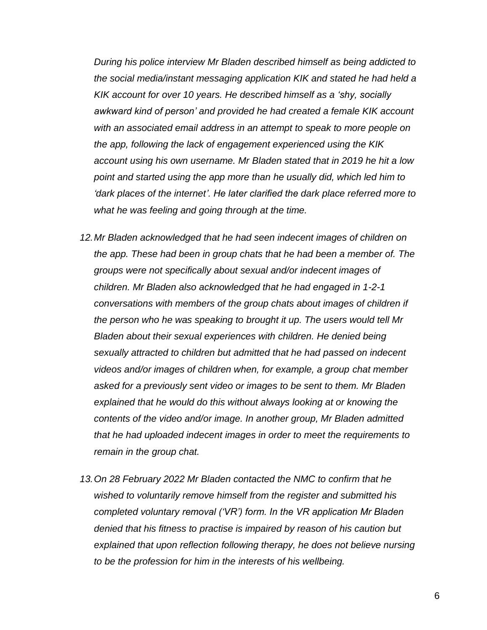*During his police interview Mr Bladen described himself as being addicted to the social media/instant messaging application KIK and stated he had held a KIK account for over 10 years. He described himself as a 'shy, socially awkward kind of person' and provided he had created a female KIK account with an associated email address in an attempt to speak to more people on the app, following the lack of engagement experienced using the KIK account using his own username. Mr Bladen stated that in 2019 he hit a low point and started using the app more than he usually did, which led him to 'dark places of the internet'. He later clarified the dark place referred more to what he was feeling and going through at the time.*

- 12. Mr Bladen acknowledged that he had seen indecent images of children on *the app. These had been in group chats that he had been a member of. The groups were not specifically about sexual and/or indecent images of children. Mr Bladen also acknowledged that he had engaged in 1-2-1 conversations with members of the group chats about images of children if the person who he was speaking to brought it up. The users would tell Mr Bladen about their sexual experiences with children. He denied being sexually attracted to children but admitted that he had passed on indecent videos and/or images of children when, for example, a group chat member asked for a previously sent video or images to be sent to them. Mr Bladen explained that he would do this without always looking at or knowing the contents of the video and/or image. In another group, Mr Bladen admitted that he had uploaded indecent images in order to meet the requirements to remain in the group chat.*
- *13.On 28 February 2022 Mr Bladen contacted the NMC to confirm that he wished to voluntarily remove himself from the register and submitted his completed voluntary removal ('VR') form. In the VR application Mr Bladen denied that his fitness to practise is impaired by reason of his caution but explained that upon reflection following therapy, he does not believe nursing to be the profession for him in the interests of his wellbeing.*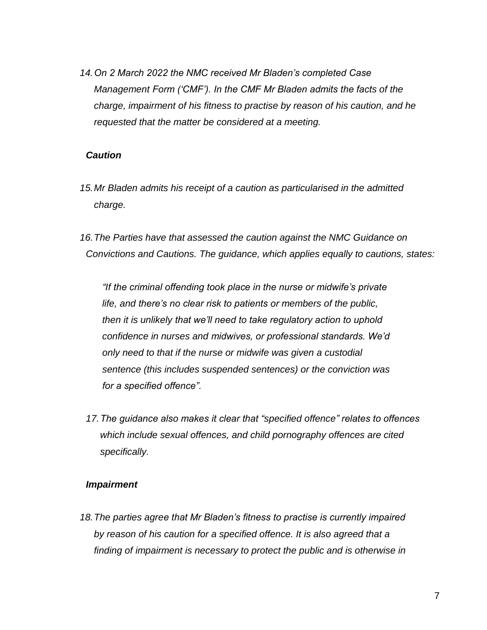*14.On 2 March 2022 the NMC received Mr Bladen's completed Case Management Form ('CMF'). In the CMF Mr Bladen admits the facts of the charge, impairment of his fitness to practise by reason of his caution, and he requested that the matter be considered at a meeting.*

#### *Caution*

- *15.Mr Bladen admits his receipt of a caution as particularised in the admitted charge.*
- *16.The Parties have that assessed the caution against the NMC Guidance on Convictions and Cautions. The guidance, which applies equally to cautions, states:*

*"If the criminal offending took place in the nurse or midwife's private life, and there's no clear risk to patients or members of the public, then it is unlikely that we'll need to take regulatory action to uphold confidence in nurses and midwives, or professional standards. We'd only need to that if the nurse or midwife was given a custodial sentence (this includes suspended sentences) or the conviction was for a specified offence".*

*17.The guidance also makes it clear that "specified offence" relates to offences which include sexual offences, and child pornography offences are cited specifically.*

#### *Impairment*

*18.The parties agree that Mr Bladen's fitness to practise is currently impaired by reason of his caution for a specified offence. It is also agreed that a finding of impairment is necessary to protect the public and is otherwise in*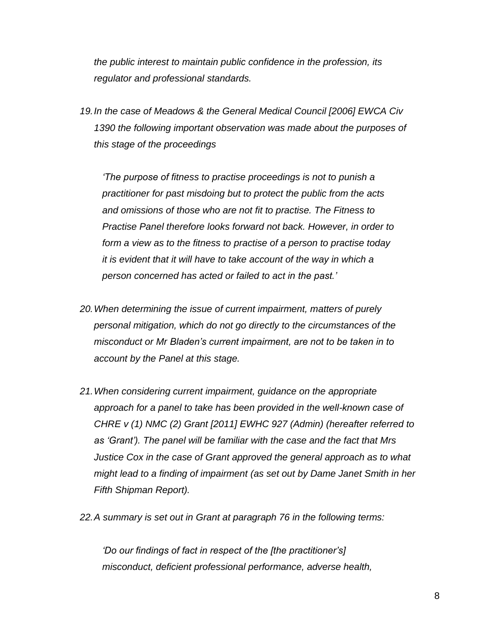*the public interest to maintain public confidence in the profession, its regulator and professional standards.*

*19.In the case of Meadows & the General Medical Council [2006] EWCA Civ 1390 the following important observation was made about the purposes of this stage of the proceedings*

*'The purpose of fitness to practise proceedings is not to punish a practitioner for past misdoing but to protect the public from the acts and omissions of those who are not fit to practise. The Fitness to Practise Panel therefore looks forward not back. However, in order to form a view as to the fitness to practise of a person to practise today it is evident that it will have to take account of the way in which a person concerned has acted or failed to act in the past.'*

- *20.When determining the issue of current impairment, matters of purely personal mitigation, which do not go directly to the circumstances of the misconduct or Mr Bladen's current impairment, are not to be taken in to account by the Panel at this stage.*
- *21.When considering current impairment, guidance on the appropriate approach for a panel to take has been provided in the well-known case of CHRE v (1) NMC (2) Grant [2011] EWHC 927 (Admin) (hereafter referred to as 'Grant'). The panel will be familiar with the case and the fact that Mrs Justice Cox in the case of Grant approved the general approach as to what might lead to a finding of impairment (as set out by Dame Janet Smith in her Fifth Shipman Report).*
- *22.A summary is set out in Grant at paragraph 76 in the following terms:*

*'Do our findings of fact in respect of the [the practitioner's] misconduct, deficient professional performance, adverse health,*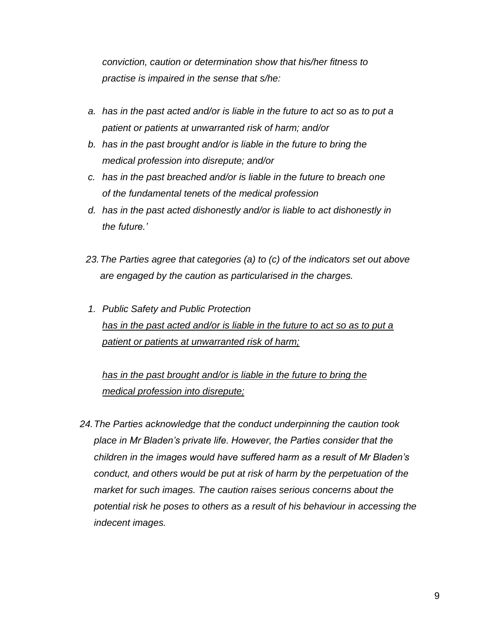*conviction, caution or determination show that his/her fitness to practise is impaired in the sense that s/he:*

- *a. has in the past acted and/or is liable in the future to act so as to put a patient or patients at unwarranted risk of harm; and/or*
- *b. has in the past brought and/or is liable in the future to bring the medical profession into disrepute; and/or*
- *c. has in the past breached and/or is liable in the future to breach one of the fundamental tenets of the medical profession*
- *d. has in the past acted dishonestly and/or is liable to act dishonestly in the future.'*
- *23.The Parties agree that categories (a) to (c) of the indicators set out above are engaged by the caution as particularised in the charges.*
- *1. Public Safety and Public Protection has in the past acted and/or is liable in the future to act so as to put a patient or patients at unwarranted risk of harm;*

has in the past brought and/or is liable in the future to bring the *medical profession into disrepute;*

*24.The Parties acknowledge that the conduct underpinning the caution took place in Mr Bladen's private life. However, the Parties consider that the children in the images would have suffered harm as a result of Mr Bladen's conduct, and others would be put at risk of harm by the perpetuation of the market for such images. The caution raises serious concerns about the potential risk he poses to others as a result of his behaviour in accessing the indecent images.*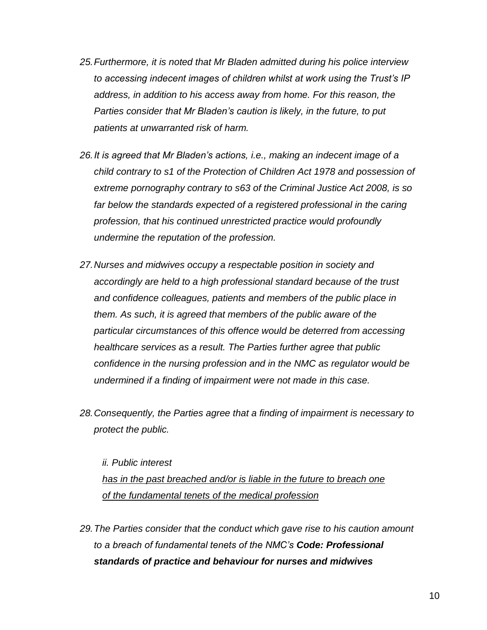- *25.Furthermore, it is noted that Mr Bladen admitted during his police interview to accessing indecent images of children whilst at work using the Trust's IP address, in addition to his access away from home. For this reason, the Parties consider that Mr Bladen's caution is likely, in the future, to put patients at unwarranted risk of harm.*
- *26.It is agreed that Mr Bladen's actions, i.e., making an indecent image of a child contrary to s1 of the Protection of Children Act 1978 and possession of extreme pornography contrary to s63 of the Criminal Justice Act 2008, is so far below the standards expected of a registered professional in the caring profession, that his continued unrestricted practice would profoundly undermine the reputation of the profession.*
- *27.Nurses and midwives occupy a respectable position in society and accordingly are held to a high professional standard because of the trust and confidence colleagues, patients and members of the public place in them. As such, it is agreed that members of the public aware of the particular circumstances of this offence would be deterred from accessing healthcare services as a result. The Parties further agree that public confidence in the nursing profession and in the NMC as regulator would be undermined if a finding of impairment were not made in this case.*
- *28.Consequently, the Parties agree that a finding of impairment is necessary to protect the public.*

*ii. Public interest has in the past breached and/or is liable in the future to breach one of the fundamental tenets of the medical profession*

*29.The Parties consider that the conduct which gave rise to his caution amount to a breach of fundamental tenets of the NMC's Code: Professional standards of practice and behaviour for nurses and midwives*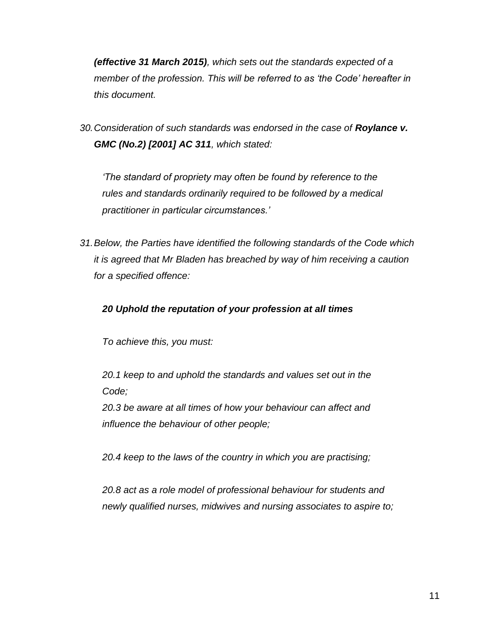*(effective 31 March 2015), which sets out the standards expected of a member of the profession. This will be referred to as 'the Code' hereafter in this document.*

*30.Consideration of such standards was endorsed in the case of Roylance v. GMC (No.2) [2001] AC 311, which stated:*

*'The standard of propriety may often be found by reference to the rules and standards ordinarily required to be followed by a medical practitioner in particular circumstances.'*

*31.Below, the Parties have identified the following standards of the Code which it is agreed that Mr Bladen has breached by way of him receiving a caution for a specified offence:*

## *20 Uphold the reputation of your profession at all times*

*To achieve this, you must:*

*20.1 keep to and uphold the standards and values set out in the Code;*

*20.3 be aware at all times of how your behaviour can affect and influence the behaviour of other people;*

*20.4 keep to the laws of the country in which you are practising;*

*20.8 act as a role model of professional behaviour for students and newly qualified nurses, midwives and nursing associates to aspire to;*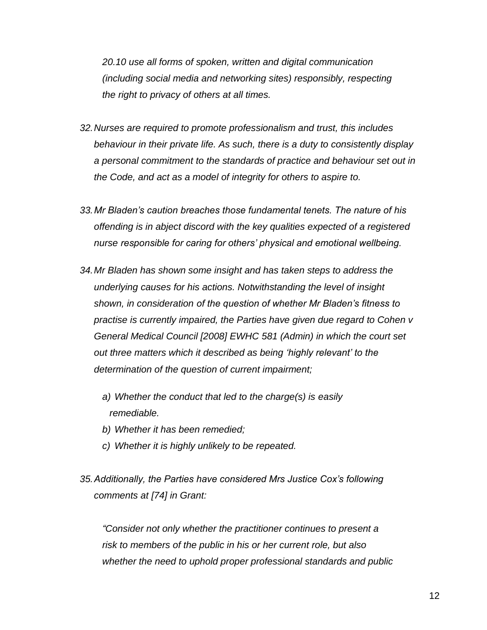*20.10 use all forms of spoken, written and digital communication (including social media and networking sites) responsibly, respecting the right to privacy of others at all times.*

- *32.Nurses are required to promote professionalism and trust, this includes behaviour in their private life. As such, there is a duty to consistently display a personal commitment to the standards of practice and behaviour set out in the Code, and act as a model of integrity for others to aspire to.*
- *33.Mr Bladen's caution breaches those fundamental tenets. The nature of his offending is in abject discord with the key qualities expected of a registered nurse responsible for caring for others' physical and emotional wellbeing.*
- *34.Mr Bladen has shown some insight and has taken steps to address the underlying causes for his actions. Notwithstanding the level of insight shown, in consideration of the question of whether Mr Bladen's fitness to practise is currently impaired, the Parties have given due regard to Cohen v General Medical Council [2008] EWHC 581 (Admin) in which the court set out three matters which it described as being 'highly relevant' to the determination of the question of current impairment;*
	- *a) Whether the conduct that led to the charge(s) is easily remediable.*
	- *b) Whether it has been remedied;*
	- *c) Whether it is highly unlikely to be repeated.*
- *35.Additionally, the Parties have considered Mrs Justice Cox's following comments at [74] in Grant:*

*"Consider not only whether the practitioner continues to present a risk to members of the public in his or her current role, but also whether the need to uphold proper professional standards and public*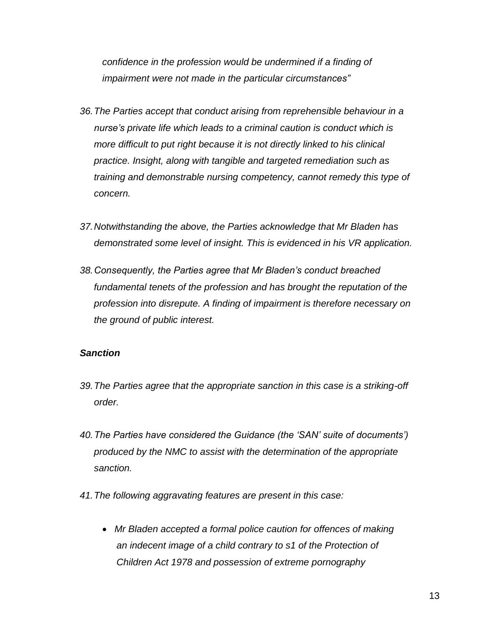*confidence in the profession would be undermined if a finding of impairment were not made in the particular circumstances"*

- *36.The Parties accept that conduct arising from reprehensible behaviour in a nurse's private life which leads to a criminal caution is conduct which is more difficult to put right because it is not directly linked to his clinical practice. Insight, along with tangible and targeted remediation such as training and demonstrable nursing competency, cannot remedy this type of concern.*
- *37.Notwithstanding the above, the Parties acknowledge that Mr Bladen has demonstrated some level of insight. This is evidenced in his VR application.*
- *38.Consequently, the Parties agree that Mr Bladen's conduct breached fundamental tenets of the profession and has brought the reputation of the profession into disrepute. A finding of impairment is therefore necessary on the ground of public interest.*

#### *Sanction*

- *39.The Parties agree that the appropriate sanction in this case is a striking-off order.*
- *40.The Parties have considered the Guidance (the 'SAN' suite of documents') produced by the NMC to assist with the determination of the appropriate sanction.*
- *41.The following aggravating features are present in this case:*
	- *Mr Bladen accepted a formal police caution for offences of making an indecent image of a child contrary to s1 of the Protection of Children Act 1978 and possession of extreme pornography*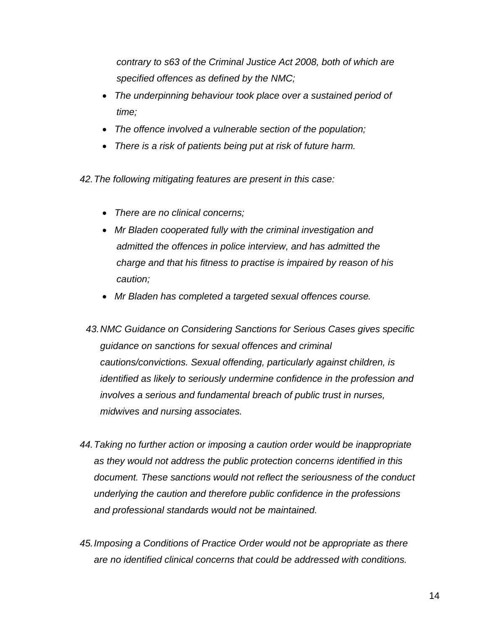*contrary to s63 of the Criminal Justice Act 2008, both of which are specified offences as defined by the NMC;*

- *The underpinning behaviour took place over a sustained period of time;*
- *The offence involved a vulnerable section of the population;*
- *There is a risk of patients being put at risk of future harm.*

*42.The following mitigating features are present in this case:*

- *There are no clinical concerns;*
- *Mr Bladen cooperated fully with the criminal investigation and admitted the offences in police interview, and has admitted the charge and that his fitness to practise is impaired by reason of his caution;*
- *Mr Bladen has completed a targeted sexual offences course.*
- *43.NMC Guidance on Considering Sanctions for Serious Cases gives specific guidance on sanctions for sexual offences and criminal cautions/convictions. Sexual offending, particularly against children, is identified as likely to seriously undermine confidence in the profession and involves a serious and fundamental breach of public trust in nurses, midwives and nursing associates.*
- *44.Taking no further action or imposing a caution order would be inappropriate as they would not address the public protection concerns identified in this document. These sanctions would not reflect the seriousness of the conduct underlying the caution and therefore public confidence in the professions and professional standards would not be maintained.*
- *45.Imposing a Conditions of Practice Order would not be appropriate as there are no identified clinical concerns that could be addressed with conditions.*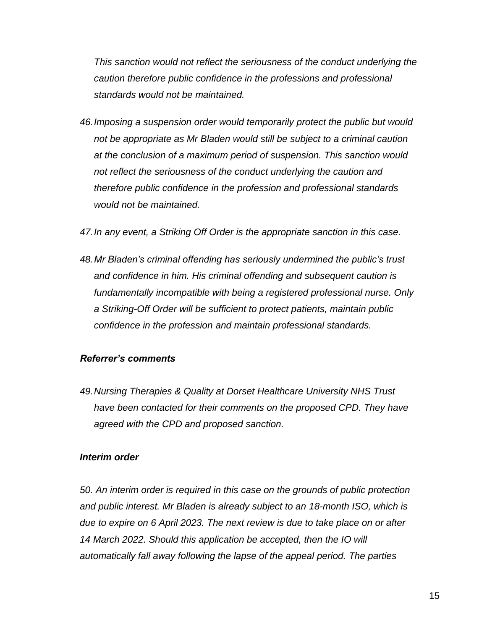*This sanction would not reflect the seriousness of the conduct underlying the caution therefore public confidence in the professions and professional standards would not be maintained.*

*46.Imposing a suspension order would temporarily protect the public but would not be appropriate as Mr Bladen would still be subject to a criminal caution at the conclusion of a maximum period of suspension. This sanction would not reflect the seriousness of the conduct underlying the caution and therefore public confidence in the profession and professional standards would not be maintained.*

*47.In any event, a Striking Off Order is the appropriate sanction in this case.*

*48.Mr Bladen's criminal offending has seriously undermined the public's trust and confidence in him. His criminal offending and subsequent caution is fundamentally incompatible with being a registered professional nurse. Only a Striking-Off Order will be sufficient to protect patients, maintain public confidence in the profession and maintain professional standards.*

#### *Referrer's comments*

*49.Nursing Therapies & Quality at Dorset Healthcare University NHS Trust have been contacted for their comments on the proposed CPD. They have agreed with the CPD and proposed sanction.*

#### *Interim order*

*50. An interim order is required in this case on the grounds of public protection and public interest. Mr Bladen is already subject to an 18-month ISO, which is due to expire on 6 April 2023. The next review is due to take place on or after 14 March 2022. Should this application be accepted, then the IO will automatically fall away following the lapse of the appeal period. The parties*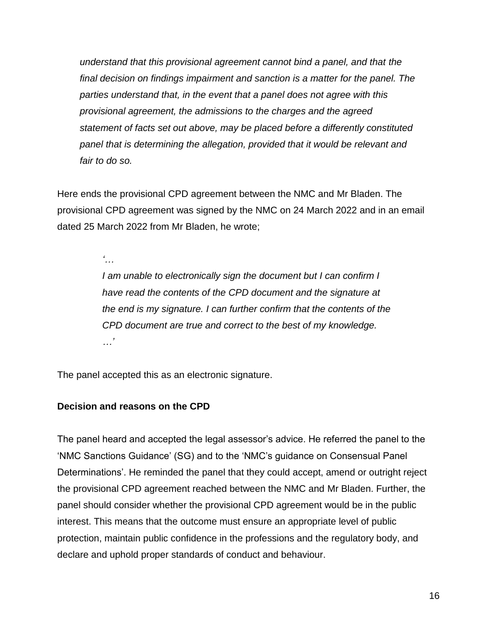*understand that this provisional agreement cannot bind a panel, and that the final decision on findings impairment and sanction is a matter for the panel. The parties understand that, in the event that a panel does not agree with this provisional agreement, the admissions to the charges and the agreed statement of facts set out above, may be placed before a differently constituted panel that is determining the allegation, provided that it would be relevant and fair to do so.*

Here ends the provisional CPD agreement between the NMC and Mr Bladen. The provisional CPD agreement was signed by the NMC on 24 March 2022 and in an email dated 25 March 2022 from Mr Bladen, he wrote;

*'…*

*I am unable to electronically sign the document but I can confirm I have read the contents of the CPD document and the signature at the end is my signature. I can further confirm that the contents of the CPD document are true and correct to the best of my knowledge. …'*

The panel accepted this as an electronic signature.

## **Decision and reasons on the CPD**

The panel heard and accepted the legal assessor's advice. He referred the panel to the 'NMC Sanctions Guidance' (SG) and to the 'NMC's guidance on Consensual Panel Determinations'. He reminded the panel that they could accept, amend or outright reject the provisional CPD agreement reached between the NMC and Mr Bladen. Further, the panel should consider whether the provisional CPD agreement would be in the public interest. This means that the outcome must ensure an appropriate level of public protection, maintain public confidence in the professions and the regulatory body, and declare and uphold proper standards of conduct and behaviour.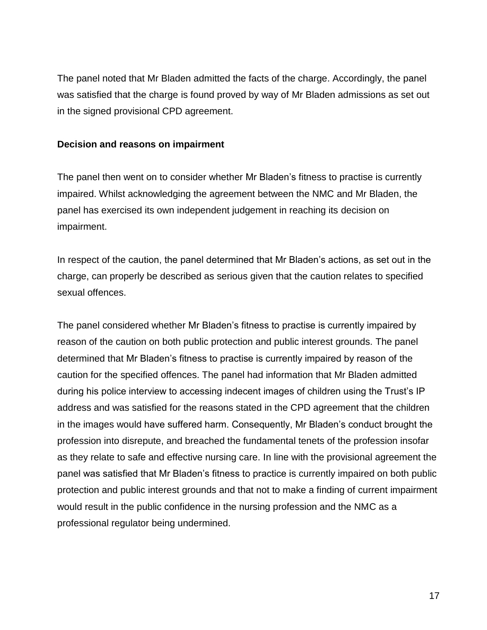The panel noted that Mr Bladen admitted the facts of the charge. Accordingly, the panel was satisfied that the charge is found proved by way of Mr Bladen admissions as set out in the signed provisional CPD agreement.

## **Decision and reasons on impairment**

The panel then went on to consider whether Mr Bladen's fitness to practise is currently impaired. Whilst acknowledging the agreement between the NMC and Mr Bladen, the panel has exercised its own independent judgement in reaching its decision on impairment.

In respect of the caution, the panel determined that Mr Bladen's actions, as set out in the charge, can properly be described as serious given that the caution relates to specified sexual offences.

The panel considered whether Mr Bladen's fitness to practise is currently impaired by reason of the caution on both public protection and public interest grounds. The panel determined that Mr Bladen's fitness to practise is currently impaired by reason of the caution for the specified offences. The panel had information that Mr Bladen admitted during his police interview to accessing indecent images of children using the Trust's IP address and was satisfied for the reasons stated in the CPD agreement that the children in the images would have suffered harm. Consequently, Mr Bladen's conduct brought the profession into disrepute, and breached the fundamental tenets of the profession insofar as they relate to safe and effective nursing care. In line with the provisional agreement the panel was satisfied that Mr Bladen's fitness to practice is currently impaired on both public protection and public interest grounds and that not to make a finding of current impairment would result in the public confidence in the nursing profession and the NMC as a professional regulator being undermined.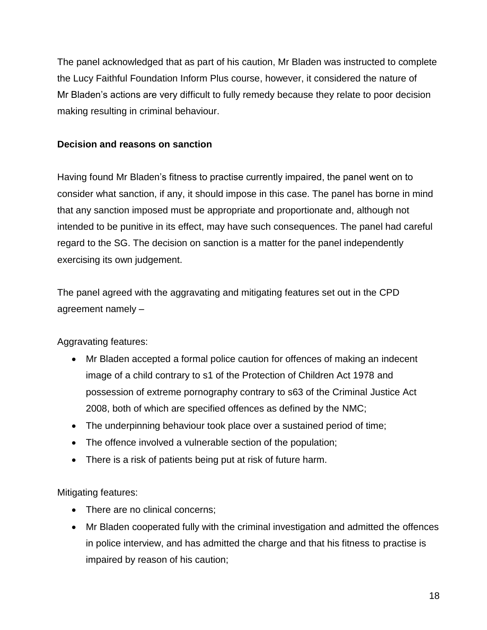The panel acknowledged that as part of his caution, Mr Bladen was instructed to complete the Lucy Faithful Foundation Inform Plus course, however, it considered the nature of Mr Bladen's actions are very difficult to fully remedy because they relate to poor decision making resulting in criminal behaviour.

## **Decision and reasons on sanction**

Having found Mr Bladen's fitness to practise currently impaired, the panel went on to consider what sanction, if any, it should impose in this case. The panel has borne in mind that any sanction imposed must be appropriate and proportionate and, although not intended to be punitive in its effect, may have such consequences. The panel had careful regard to the SG. The decision on sanction is a matter for the panel independently exercising its own judgement.

The panel agreed with the aggravating and mitigating features set out in the CPD agreement namely –

Aggravating features:

- Mr Bladen accepted a formal police caution for offences of making an indecent image of a child contrary to s1 of the Protection of Children Act 1978 and possession of extreme pornography contrary to s63 of the Criminal Justice Act 2008, both of which are specified offences as defined by the NMC;
- The underpinning behaviour took place over a sustained period of time;
- The offence involved a vulnerable section of the population;
- There is a risk of patients being put at risk of future harm.

Mitigating features:

- There are no clinical concerns;
- Mr Bladen cooperated fully with the criminal investigation and admitted the offences in police interview, and has admitted the charge and that his fitness to practise is impaired by reason of his caution;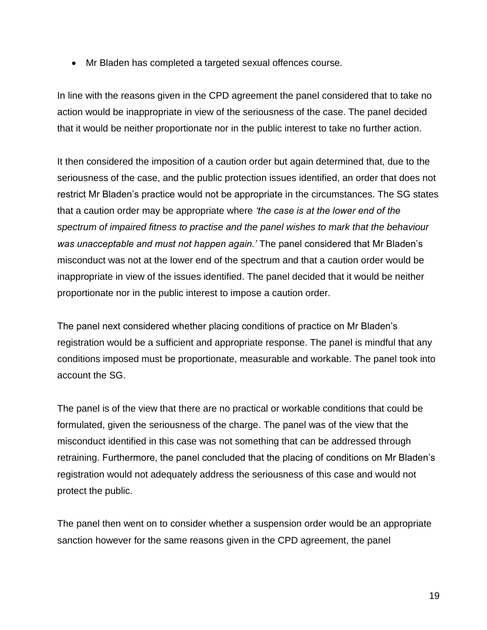Mr Bladen has completed a targeted sexual offences course.

In line with the reasons given in the CPD agreement the panel considered that to take no action would be inappropriate in view of the seriousness of the case. The panel decided that it would be neither proportionate nor in the public interest to take no further action.

It then considered the imposition of a caution order but again determined that, due to the seriousness of the case, and the public protection issues identified, an order that does not restrict Mr Bladen's practice would not be appropriate in the circumstances. The SG states that a caution order may be appropriate where *'the case is at the lower end of the spectrum of impaired fitness to practise and the panel wishes to mark that the behaviour was unacceptable and must not happen again.'* The panel considered that Mr Bladen's misconduct was not at the lower end of the spectrum and that a caution order would be inappropriate in view of the issues identified. The panel decided that it would be neither proportionate nor in the public interest to impose a caution order.

The panel next considered whether placing conditions of practice on Mr Bladen's registration would be a sufficient and appropriate response. The panel is mindful that any conditions imposed must be proportionate, measurable and workable. The panel took into account the SG.

The panel is of the view that there are no practical or workable conditions that could be formulated, given the seriousness of the charge. The panel was of the view that the misconduct identified in this case was not something that can be addressed through retraining. Furthermore, the panel concluded that the placing of conditions on Mr Bladen's registration would not adequately address the seriousness of this case and would not protect the public.

The panel then went on to consider whether a suspension order would be an appropriate sanction however for the same reasons given in the CPD agreement, the panel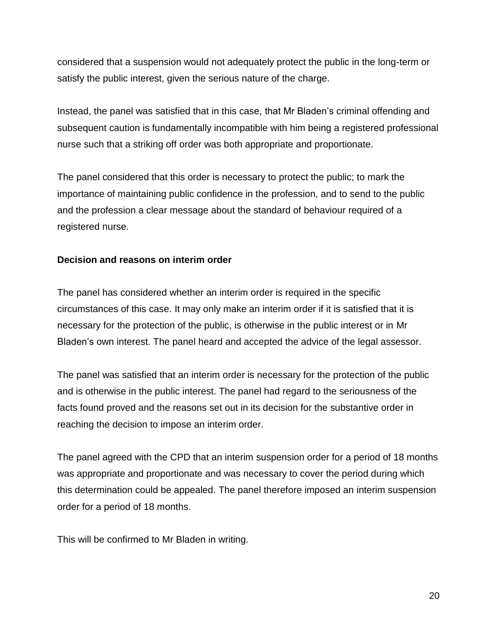considered that a suspension would not adequately protect the public in the long-term or satisfy the public interest, given the serious nature of the charge.

Instead, the panel was satisfied that in this case, that Mr Bladen's criminal offending and subsequent caution is fundamentally incompatible with him being a registered professional nurse such that a striking off order was both appropriate and proportionate.

The panel considered that this order is necessary to protect the public; to mark the importance of maintaining public confidence in the profession, and to send to the public and the profession a clear message about the standard of behaviour required of a registered nurse.

### **Decision and reasons on interim order**

The panel has considered whether an interim order is required in the specific circumstances of this case. It may only make an interim order if it is satisfied that it is necessary for the protection of the public, is otherwise in the public interest or in Mr Bladen's own interest. The panel heard and accepted the advice of the legal assessor.

The panel was satisfied that an interim order is necessary for the protection of the public and is otherwise in the public interest. The panel had regard to the seriousness of the facts found proved and the reasons set out in its decision for the substantive order in reaching the decision to impose an interim order.

The panel agreed with the CPD that an interim suspension order for a period of 18 months was appropriate and proportionate and was necessary to cover the period during which this determination could be appealed. The panel therefore imposed an interim suspension order for a period of 18 months.

This will be confirmed to Mr Bladen in writing.